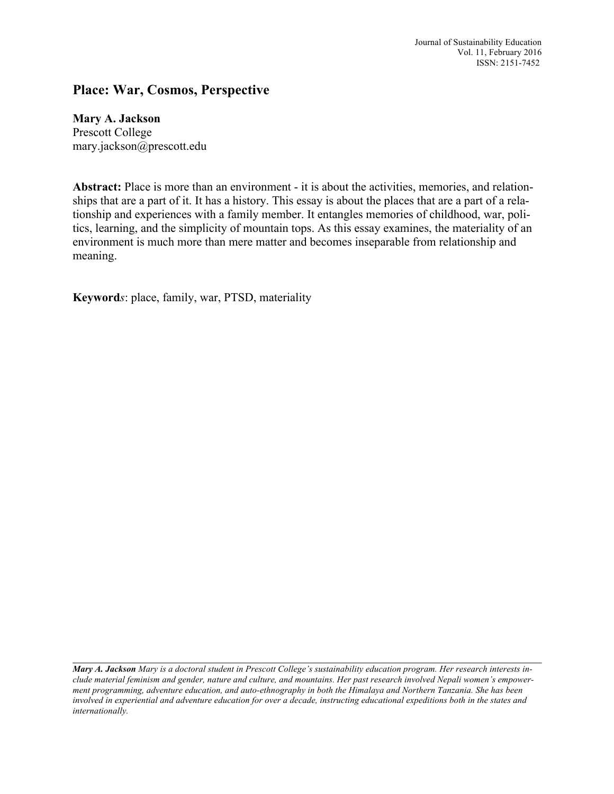Journal of Sustainability Education Vol. 11, February 2016 ISSN: 2151-7452

## **Place: War, Cosmos, Perspective**

## **Mary A. Jackson**

Prescott College mary.jackson@prescott.edu

**Abstract:** Place is more than an environment - it is about the activities, memories, and relationships that are a part of it. It has a history. This essay is about the places that are a part of a relationship and experiences with a family member. It entangles memories of childhood, war, politics, learning, and the simplicity of mountain tops. As this essay examines, the materiality of an environment is much more than mere matter and becomes inseparable from relationship and meaning.

**Keyword***s*: place, family, war, PTSD, materiality

 $\mathcal{L}_\mathcal{L} = \{ \mathcal{L}_\mathcal{L} = \{ \mathcal{L}_\mathcal{L} = \{ \mathcal{L}_\mathcal{L} = \{ \mathcal{L}_\mathcal{L} = \{ \mathcal{L}_\mathcal{L} = \{ \mathcal{L}_\mathcal{L} = \{ \mathcal{L}_\mathcal{L} = \{ \mathcal{L}_\mathcal{L} = \{ \mathcal{L}_\mathcal{L} = \{ \mathcal{L}_\mathcal{L} = \{ \mathcal{L}_\mathcal{L} = \{ \mathcal{L}_\mathcal{L} = \{ \mathcal{L}_\mathcal{L} = \{ \mathcal{L}_\mathcal{$ 

Mary A. Jackson Mary is a doctoral student in Prescott College's sustainability education program. Her research interests include material feminism and gender, nature and culture, and mountains. Her past research involved Nepali women's empowerment programming, adventure education, and auto-ethnography in both the Himalaya and Northern Tanzania. She has been involved in experiential and adventure education for over a decade, instructing educational expeditions both in the states and *internationally.*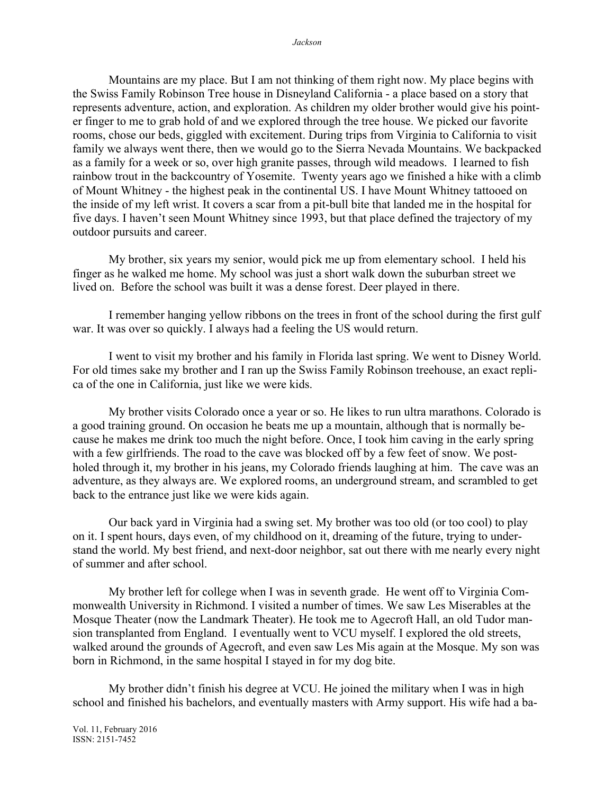Mountains are my place. But I am not thinking of them right now. My place begins with the Swiss Family Robinson Tree house in Disneyland California - a place based on a story that represents adventure, action, and exploration. As children my older brother would give his pointer finger to me to grab hold of and we explored through the tree house. We picked our favorite rooms, chose our beds, giggled with excitement. During trips from Virginia to California to visit family we always went there, then we would go to the Sierra Nevada Mountains. We backpacked as a family for a week or so, over high granite passes, through wild meadows. I learned to fish rainbow trout in the backcountry of Yosemite. Twenty years ago we finished a hike with a climb of Mount Whitney - the highest peak in the continental US. I have Mount Whitney tattooed on the inside of my left wrist. It covers a scar from a pit-bull bite that landed me in the hospital for five days. I haven't seen Mount Whitney since 1993, but that place defined the trajectory of my outdoor pursuits and career.

My brother, six years my senior, would pick me up from elementary school. I held his finger as he walked me home. My school was just a short walk down the suburban street we lived on. Before the school was built it was a dense forest. Deer played in there.

I remember hanging yellow ribbons on the trees in front of the school during the first gulf war. It was over so quickly. I always had a feeling the US would return.

I went to visit my brother and his family in Florida last spring. We went to Disney World. For old times sake my brother and I ran up the Swiss Family Robinson treehouse, an exact replica of the one in California, just like we were kids.

My brother visits Colorado once a year or so. He likes to run ultra marathons. Colorado is a good training ground. On occasion he beats me up a mountain, although that is normally because he makes me drink too much the night before. Once, I took him caving in the early spring with a few girlfriends. The road to the cave was blocked off by a few feet of snow. We postholed through it, my brother in his jeans, my Colorado friends laughing at him. The cave was an adventure, as they always are. We explored rooms, an underground stream, and scrambled to get back to the entrance just like we were kids again.

Our back yard in Virginia had a swing set. My brother was too old (or too cool) to play on it. I spent hours, days even, of my childhood on it, dreaming of the future, trying to understand the world. My best friend, and next-door neighbor, sat out there with me nearly every night of summer and after school.

My brother left for college when I was in seventh grade. He went off to Virginia Commonwealth University in Richmond. I visited a number of times. We saw Les Miserables at the Mosque Theater (now the Landmark Theater). He took me to Agecroft Hall, an old Tudor mansion transplanted from England. I eventually went to VCU myself. I explored the old streets, walked around the grounds of Agecroft, and even saw Les Mis again at the Mosque. My son was born in Richmond, in the same hospital I stayed in for my dog bite.

My brother didn't finish his degree at VCU. He joined the military when I was in high school and finished his bachelors, and eventually masters with Army support. His wife had a ba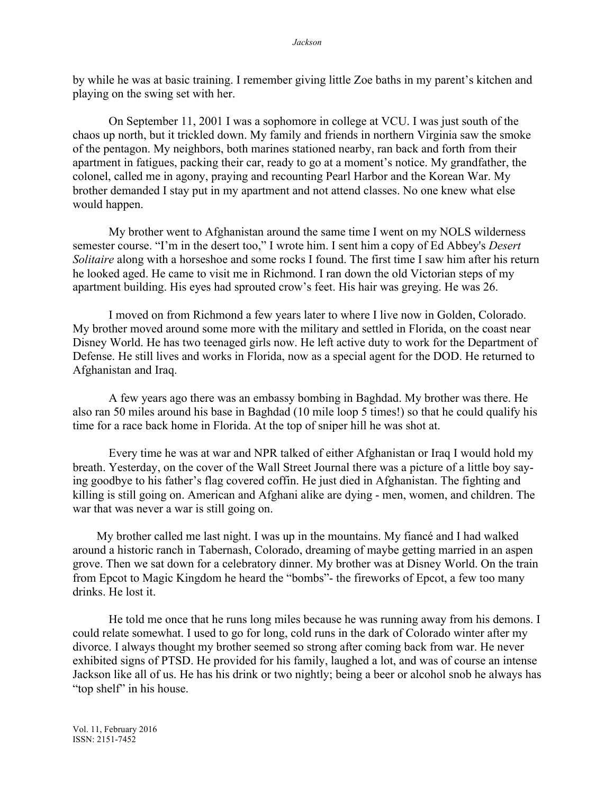by while he was at basic training. I remember giving little Zoe baths in my parent's kitchen and playing on the swing set with her.

On September 11, 2001 I was a sophomore in college at VCU. I was just south of the chaos up north, but it trickled down. My family and friends in northern Virginia saw the smoke of the pentagon. My neighbors, both marines stationed nearby, ran back and forth from their apartment in fatigues, packing their car, ready to go at a moment's notice. My grandfather, the colonel, called me in agony, praying and recounting Pearl Harbor and the Korean War. My brother demanded I stay put in my apartment and not attend classes. No one knew what else would happen.

My brother went to Afghanistan around the same time I went on my NOLS wilderness semester course. "I'm in the desert too," I wrote him. I sent him a copy of Ed Abbey's *Desert Solitaire* along with a horseshoe and some rocks I found. The first time I saw him after his return he looked aged. He came to visit me in Richmond. I ran down the old Victorian steps of my apartment building. His eyes had sprouted crow's feet. His hair was greying. He was 26.

I moved on from Richmond a few years later to where I live now in Golden, Colorado. My brother moved around some more with the military and settled in Florida, on the coast near Disney World. He has two teenaged girls now. He left active duty to work for the Department of Defense. He still lives and works in Florida, now as a special agent for the DOD. He returned to Afghanistan and Iraq.

A few years ago there was an embassy bombing in Baghdad. My brother was there. He also ran 50 miles around his base in Baghdad (10 mile loop 5 times!) so that he could qualify his time for a race back home in Florida. At the top of sniper hill he was shot at.

Every time he was at war and NPR talked of either Afghanistan or Iraq I would hold my breath. Yesterday, on the cover of the Wall Street Journal there was a picture of a little boy saying goodbye to his father's flag covered coffin. He just died in Afghanistan. The fighting and killing is still going on. American and Afghani alike are dying - men, women, and children. The war that was never a war is still going on.

 My brother called me last night. I was up in the mountains. My fiancé and I had walked around a historic ranch in Tabernash, Colorado, dreaming of maybe getting married in an aspen grove. Then we sat down for a celebratory dinner. My brother was at Disney World. On the train from Epcot to Magic Kingdom he heard the "bombs"- the fireworks of Epcot, a few too many drinks. He lost it.

He told me once that he runs long miles because he was running away from his demons. I could relate somewhat. I used to go for long, cold runs in the dark of Colorado winter after my divorce. I always thought my brother seemed so strong after coming back from war. He never exhibited signs of PTSD. He provided for his family, laughed a lot, and was of course an intense Jackson like all of us. He has his drink or two nightly; being a beer or alcohol snob he always has "top shelf" in his house.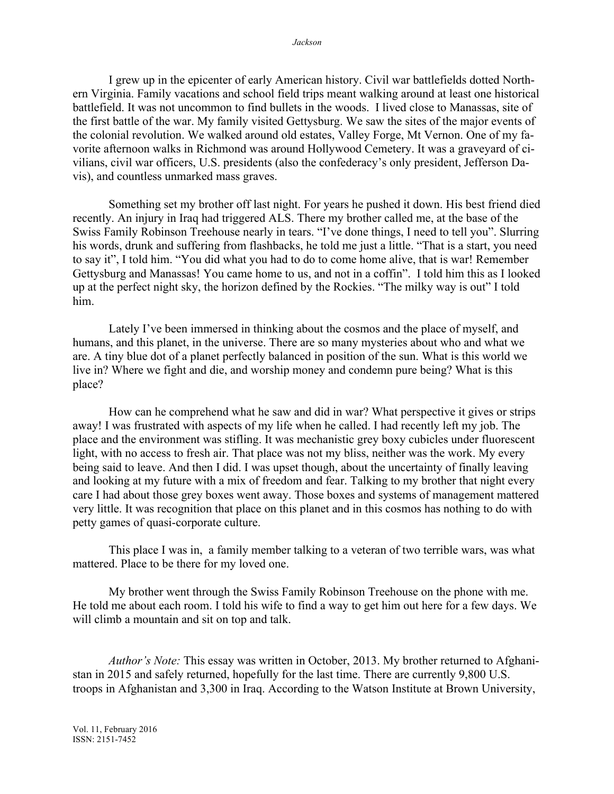I grew up in the epicenter of early American history. Civil war battlefields dotted Northern Virginia. Family vacations and school field trips meant walking around at least one historical battlefield. It was not uncommon to find bullets in the woods. I lived close to Manassas, site of the first battle of the war. My family visited Gettysburg. We saw the sites of the major events of the colonial revolution. We walked around old estates, Valley Forge, Mt Vernon. One of my favorite afternoon walks in Richmond was around Hollywood Cemetery. It was a graveyard of civilians, civil war officers, U.S. presidents (also the confederacy's only president, Jefferson Davis), and countless unmarked mass graves.

Something set my brother off last night. For years he pushed it down. His best friend died recently. An injury in Iraq had triggered ALS. There my brother called me, at the base of the Swiss Family Robinson Treehouse nearly in tears. "I've done things, I need to tell you". Slurring his words, drunk and suffering from flashbacks, he told me just a little. "That is a start, you need to say it", I told him. "You did what you had to do to come home alive, that is war! Remember Gettysburg and Manassas! You came home to us, and not in a coffin". I told him this as I looked up at the perfect night sky, the horizon defined by the Rockies. "The milky way is out" I told him.

Lately I've been immersed in thinking about the cosmos and the place of myself, and humans, and this planet, in the universe. There are so many mysteries about who and what we are. A tiny blue dot of a planet perfectly balanced in position of the sun. What is this world we live in? Where we fight and die, and worship money and condemn pure being? What is this place?

How can he comprehend what he saw and did in war? What perspective it gives or strips away! I was frustrated with aspects of my life when he called. I had recently left my job. The place and the environment was stifling. It was mechanistic grey boxy cubicles under fluorescent light, with no access to fresh air. That place was not my bliss, neither was the work. My every being said to leave. And then I did. I was upset though, about the uncertainty of finally leaving and looking at my future with a mix of freedom and fear. Talking to my brother that night every care I had about those grey boxes went away. Those boxes and systems of management mattered very little. It was recognition that place on this planet and in this cosmos has nothing to do with petty games of quasi-corporate culture.

This place I was in, a family member talking to a veteran of two terrible wars, was what mattered. Place to be there for my loved one.

My brother went through the Swiss Family Robinson Treehouse on the phone with me. He told me about each room. I told his wife to find a way to get him out here for a few days. We will climb a mountain and sit on top and talk.

*Author's Note:* This essay was written in October, 2013. My brother returned to Afghanistan in 2015 and safely returned, hopefully for the last time. There are currently 9,800 U.S. troops in Afghanistan and 3,300 in Iraq. According to the Watson Institute at Brown University,